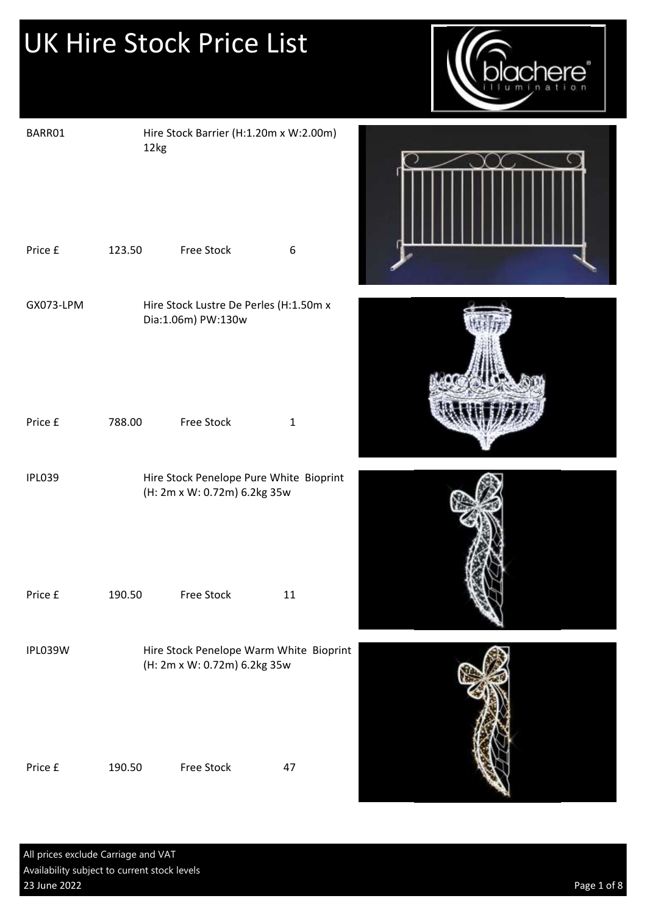

| BARR01        | 12kg   | Hire Stock Barrier (H:1.20m x W:2.00m)                                  |                  |  |
|---------------|--------|-------------------------------------------------------------------------|------------------|--|
| Price £       | 123.50 | Free Stock                                                              | $\boldsymbol{6}$ |  |
| GX073-LPM     |        | Hire Stock Lustre De Perles (H:1.50m x<br>Dia:1.06m) PW:130w            |                  |  |
| Price £       | 788.00 | Free Stock                                                              | $1\,$            |  |
| <b>IPL039</b> |        | Hire Stock Penelope Pure White Bioprint<br>(H: 2m x W: 0.72m) 6.2kg 35w |                  |  |
| Price £       | 190.50 | Free Stock                                                              | 11               |  |
| IPL039W       |        | Hire Stock Penelope Warm White Bioprint<br>(H: 2m x W: 0.72m) 6.2kg 35w |                  |  |
| Price £       | 190.50 | Free Stock                                                              | 47               |  |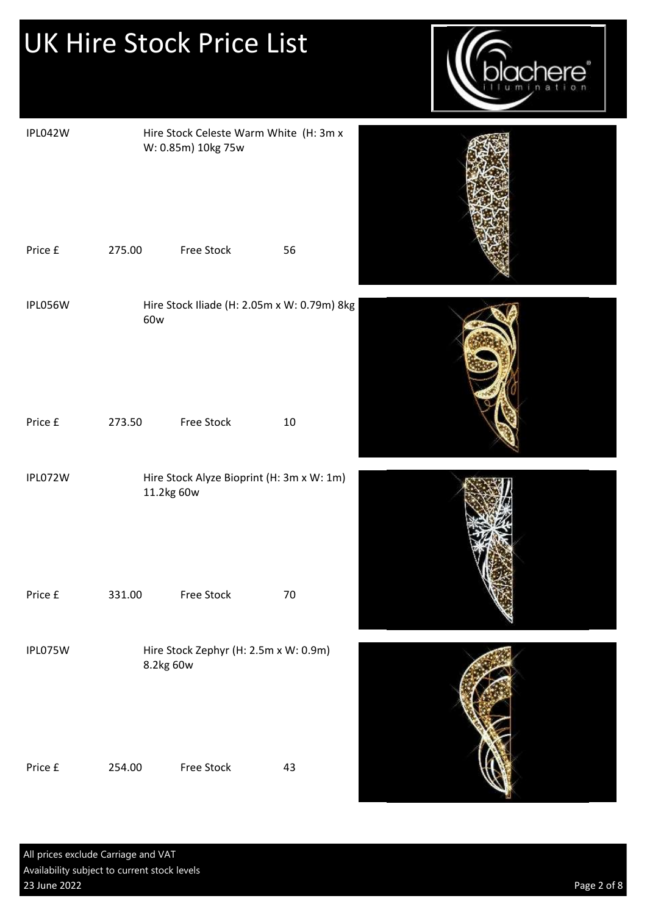|         |        | <b>UK Hire Stock Price List</b>                              |                                             | <b>xchere</b> |
|---------|--------|--------------------------------------------------------------|---------------------------------------------|---------------|
| IPL042W |        | Hire Stock Celeste Warm White (H: 3m x<br>W: 0.85m) 10kg 75w |                                             |               |
| Price £ | 275.00 | Free Stock                                                   | 56                                          |               |
| IPL056W | 60w    |                                                              | Hire Stock Iliade (H: 2.05m x W: 0.79m) 8kg |               |
| Price £ | 273.50 | <b>Free Stock</b>                                            | 10                                          |               |
| IPL072W |        | Hire Stock Alyze Bioprint (H: 3m x W: 1m)<br>11.2kg 60w      |                                             |               |
| Price £ | 331.00 | Free Stock                                                   | 70                                          |               |
| IPL075W |        | Hire Stock Zephyr (H: 2.5m x W: 0.9m)<br>8.2kg 60w           |                                             |               |
| Price £ | 254.00 | Free Stock                                                   | 43                                          |               |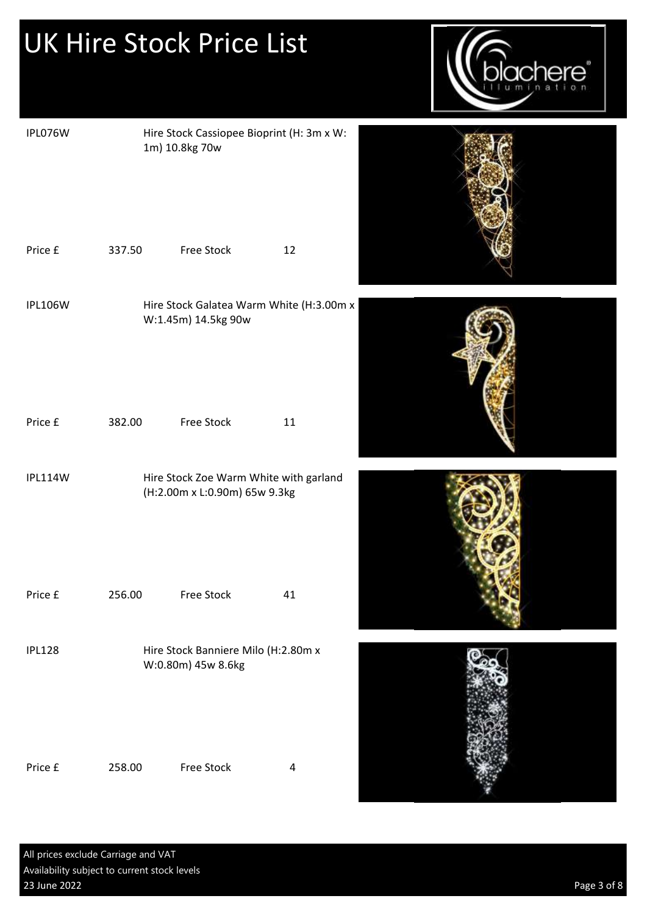|                |        | <b>UK Hire Stock Price List</b>                                         |                                           | there |
|----------------|--------|-------------------------------------------------------------------------|-------------------------------------------|-------|
| IPL076W        |        | 1m) 10.8kg 70w                                                          | Hire Stock Cassiopee Bioprint (H: 3m x W: |       |
| Price £        | 337.50 | Free Stock                                                              | 12                                        |       |
| <b>IPL106W</b> |        | W:1.45m) 14.5kg 90w                                                     | Hire Stock Galatea Warm White (H:3.00m x  |       |
| Price £        | 382.00 | Free Stock                                                              | 11                                        |       |
| IPL114W        |        | Hire Stock Zoe Warm White with garland<br>(H:2.00m x L:0.90m) 65w 9.3kg |                                           |       |
| Price £        | 256.00 | Free Stock                                                              | 41                                        |       |
| <b>IPL128</b>  |        | Hire Stock Banniere Milo (H:2.80m x<br>W:0.80m) 45w 8.6kg               |                                           |       |
| Price £        | 258.00 | Free Stock                                                              | 4                                         |       |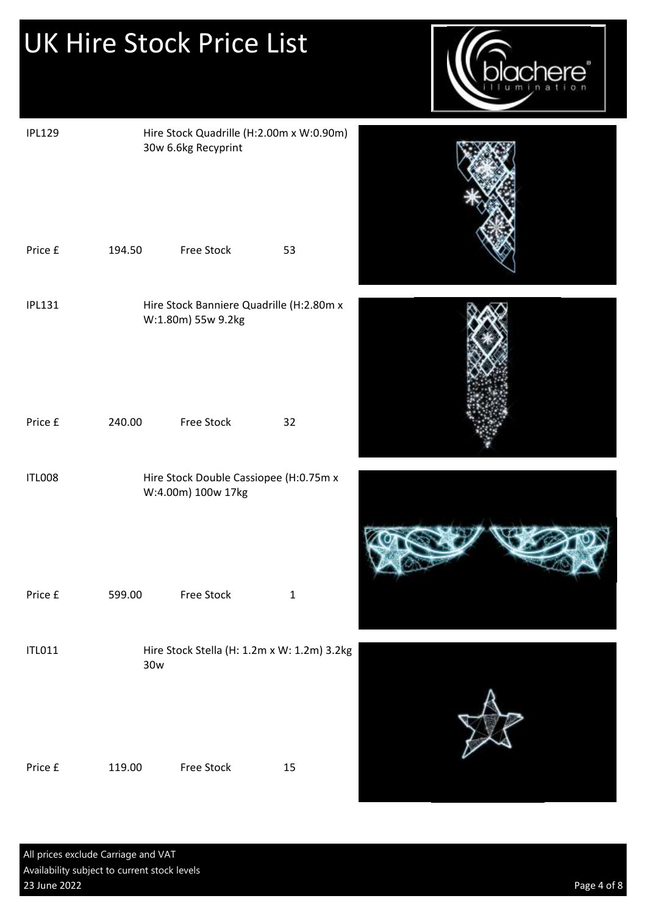

| <b>IPL129</b> |        | Hire Stock Quadrille (H:2.00m x W:0.90m)<br>30w 6.6kg Recyprint |              |  |
|---------------|--------|-----------------------------------------------------------------|--------------|--|
| Price £       | 194.50 | Free Stock                                                      | 53           |  |
| <b>IPL131</b> |        | Hire Stock Banniere Quadrille (H:2.80m x<br>W:1.80m) 55w 9.2kg  |              |  |
| Price £       | 240.00 | Free Stock                                                      | 32           |  |
| <b>ITL008</b> |        | Hire Stock Double Cassiopee (H:0.75m x<br>W:4.00m) 100w 17kg    |              |  |
| Price £       | 599.00 | Free Stock                                                      | $\mathbf{1}$ |  |
| <b>ITL011</b> | 30w    | Hire Stock Stella (H: 1.2m x W: 1.2m) 3.2kg                     |              |  |
| Price £       | 119.00 | Free Stock                                                      | $15\,$       |  |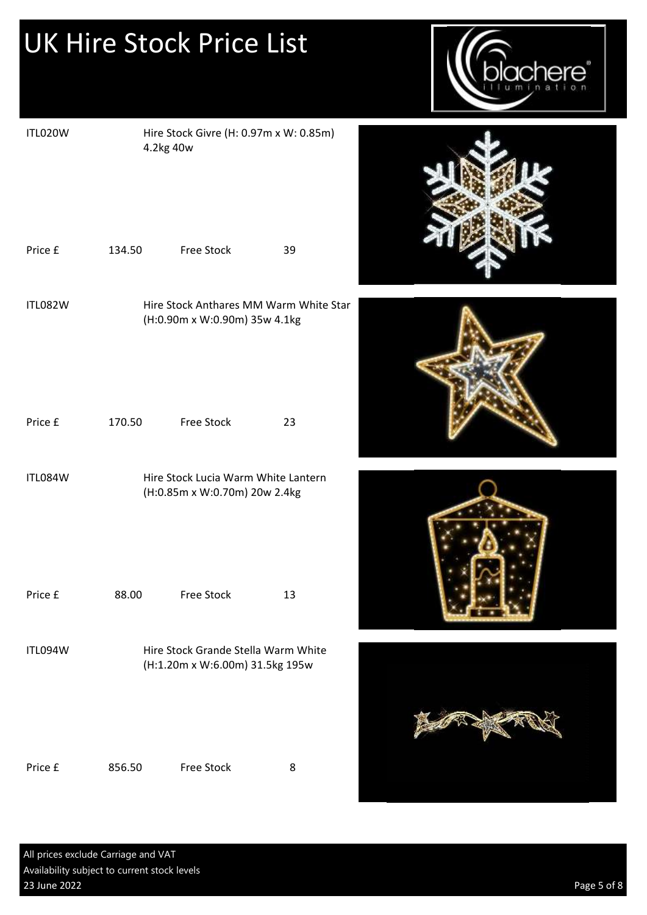

| ITL020W | 4.2kg 40w | Hire Stock Givre (H: 0.97m x W: 0.85m)                                  |    |
|---------|-----------|-------------------------------------------------------------------------|----|
| Price £ | 134.50    | Free Stock                                                              | 39 |
| ITL082W |           | Hire Stock Anthares MM Warm White Star<br>(H:0.90m x W:0.90m) 35w 4.1kg |    |
| Price £ | 170.50    | <b>Free Stock</b>                                                       | 23 |
| ITL084W |           | Hire Stock Lucia Warm White Lantern<br>(H:0.85m x W:0.70m) 20w 2.4kg    |    |
| Price £ | 88.00     | <b>Free Stock</b>                                                       | 13 |
| ITL094W |           | Hire Stock Grande Stella Warm White<br>(H:1.20m x W:6.00m) 31.5kg 195w  |    |
| Price £ | 856.50    | <b>Free Stock</b>                                                       | 8  |







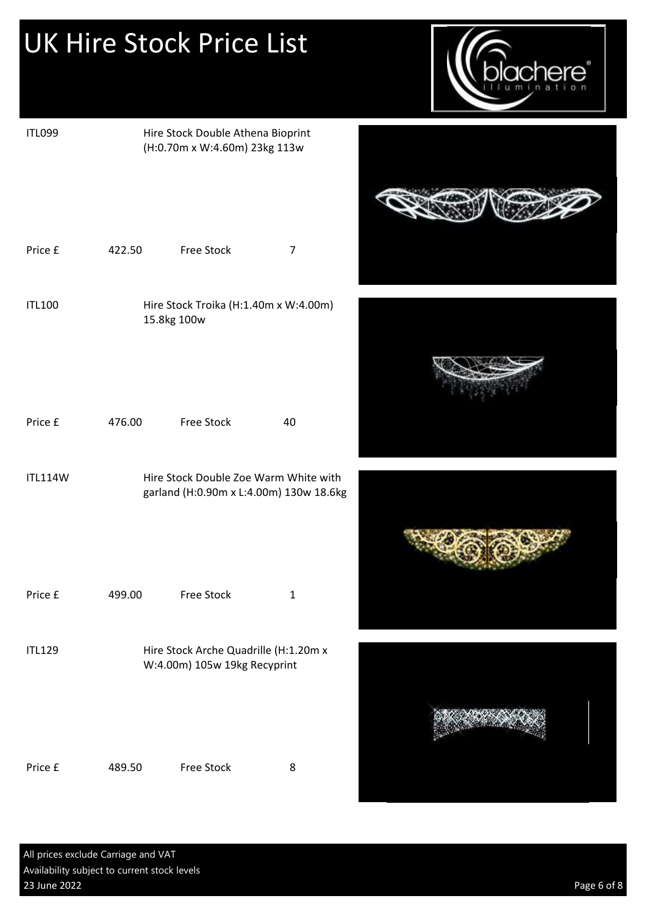

| <b>ITL099</b>  |        | Hire Stock Double Athena Bioprint<br>(H:0.70m x W:4.60m) 23kg 113w               |                |  |
|----------------|--------|----------------------------------------------------------------------------------|----------------|--|
| Price £        | 422.50 | Free Stock                                                                       | $\overline{7}$ |  |
| <b>ITL100</b>  |        | Hire Stock Troika (H:1.40m x W:4.00m)<br>15.8kg 100w                             |                |  |
| Price £        | 476.00 | <b>Free Stock</b>                                                                | 40             |  |
| <b>ITL114W</b> |        | Hire Stock Double Zoe Warm White with<br>garland (H:0.90m x L:4.00m) 130w 18.6kg |                |  |
| Price £        | 499.00 | Free Stock                                                                       | $\mathbf 1$    |  |
| <b>ITL129</b>  |        | Hire Stock Arche Quadrille (H:1.20m x<br>W:4.00m) 105w 19kg Recyprint            |                |  |
| Price £        | 489.50 | Free Stock                                                                       | $\bf 8$        |  |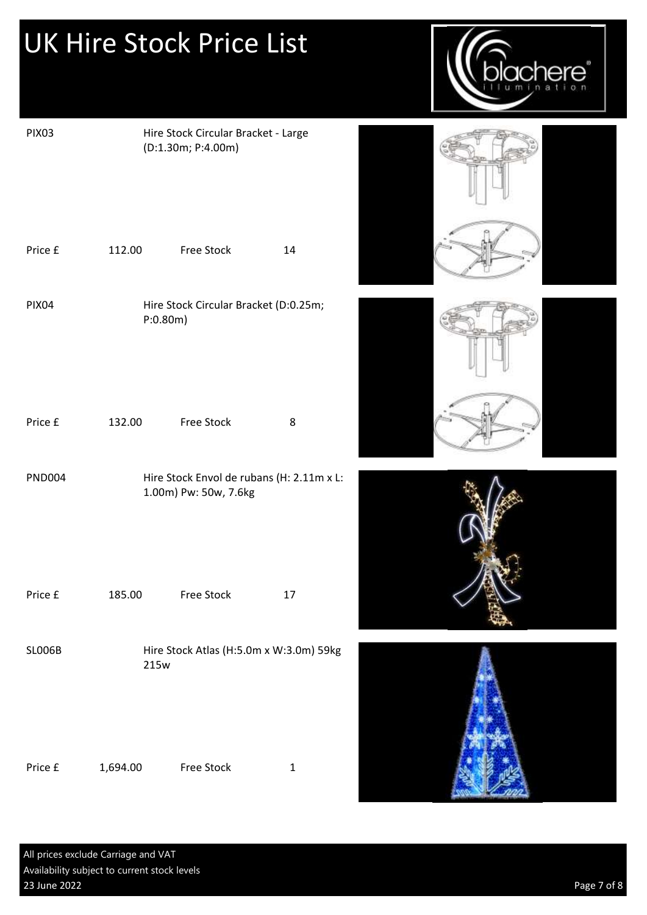

| <b>PIX03</b>  |          | Hire Stock Circular Bracket - Large<br>(D:1.30m; P:4.00m)          |              |  |
|---------------|----------|--------------------------------------------------------------------|--------------|--|
| Price £       | 112.00   | Free Stock                                                         | 14           |  |
| <b>PIX04</b>  | P:0.80m) | Hire Stock Circular Bracket (D:0.25m;                              |              |  |
| Price £       | 132.00   | Free Stock                                                         | 8            |  |
| <b>PND004</b> |          | Hire Stock Envol de rubans (H: 2.11m x L:<br>1.00m) Pw: 50w, 7.6kg |              |  |
| Price £       | 185.00   | <b>Free Stock</b>                                                  | 17           |  |
| <b>SLOO6B</b> | 215w     | Hire Stock Atlas (H:5.0m x W:3.0m) 59kg                            |              |  |
| Price £       | 1,694.00 | Free Stock                                                         | $\mathbf{1}$ |  |